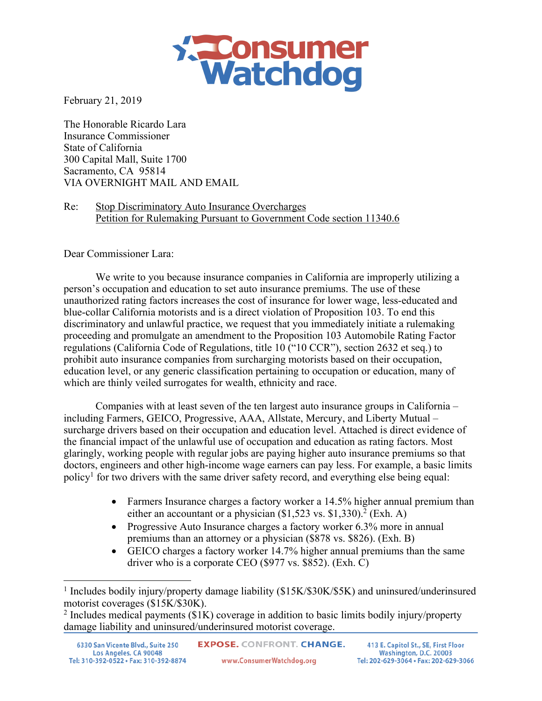

February 21, 2019

The Honorable Ricardo Lara Insurance Commissioner State of California 300 Capital Mall, Suite 1700 Sacramento, CA 95814 VIA OVERNIGHT MAIL AND EMAIL

Re: Stop Discriminatory Auto Insurance Overcharges Petition for Rulemaking Pursuant to Government Code section 11340.6

Dear Commissioner Lara:

We write to you because insurance companies in California are improperly utilizing a person's occupation and education to set auto insurance premiums. The use of these unauthorized rating factors increases the cost of insurance for lower wage, less-educated and blue-collar California motorists and is a direct violation of Proposition 103. To end this discriminatory and unlawful practice, we request that you immediately initiate a rulemaking proceeding and promulgate an amendment to the Proposition 103 Automobile Rating Factor regulations (California Code of Regulations, title 10 ("10 CCR"), section 2632 et seq.) to prohibit auto insurance companies from surcharging motorists based on their occupation, education level, or any generic classification pertaining to occupation or education, many of which are thinly veiled surrogates for wealth, ethnicity and race.

Companies with at least seven of the ten largest auto insurance groups in California – including Farmers, GEICO, Progressive, AAA, Allstate, Mercury, and Liberty Mutual – surcharge drivers based on their occupation and education level. Attached is direct evidence of the financial impact of the unlawful use of occupation and education as rating factors. Most glaringly, working people with regular jobs are paying higher auto insurance premiums so that doctors, engineers and other high-income wage earners can pay less. For example, a basic limits policy1 for two drivers with the same driver safety record, and everything else being equal:

- Farmers Insurance charges a factory worker a 14.5% higher annual premium than either an accountant or a physician (\$1,523 vs. \$1,330).<sup>2</sup> (Exh. A)
- Progressive Auto Insurance charges a factory worker 6.3% more in annual premiums than an attorney or a physician (\$878 vs. \$826). (Exh. B)
- GEICO charges a factory worker 14.7% higher annual premiums than the same driver who is a corporate CEO (\$977 vs. \$852). (Exh. C)

<sup>&</sup>lt;sup>1</sup> Includes bodily injury/property damage liability (\$15K/\$30K/\$5K) and uninsured/underinsured motorist coverages (\$15K/\$30K).

<sup>&</sup>lt;sup>2</sup> Includes medical payments ( $$1K$ ) coverage in addition to basic limits bodily injury/property damage liability and uninsured/underinsured motorist coverage.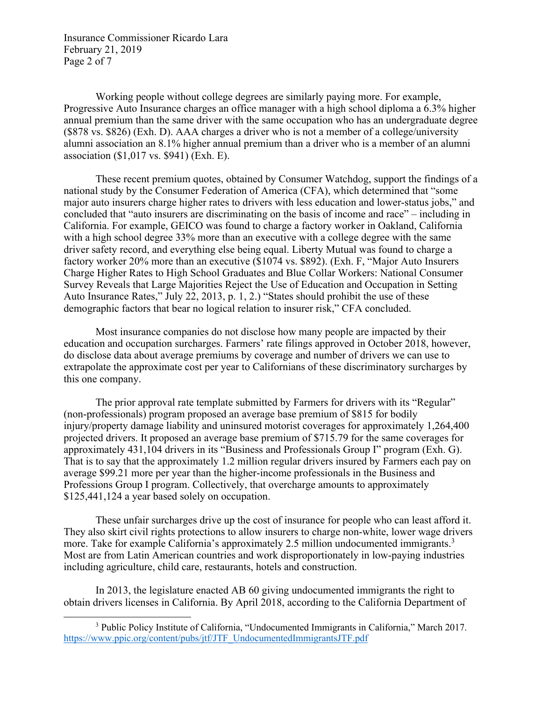Insurance Commissioner Ricardo Lara February 21, 2019 Page 2 of 7

Working people without college degrees are similarly paying more. For example, Progressive Auto Insurance charges an office manager with a high school diploma a 6.3% higher annual premium than the same driver with the same occupation who has an undergraduate degree (\$878 vs. \$826) (Exh. D). AAA charges a driver who is not a member of a college/university alumni association an 8.1% higher annual premium than a driver who is a member of an alumni association (\$1,017 vs. \$941) (Exh. E).

These recent premium quotes, obtained by Consumer Watchdog, support the findings of a national study by the Consumer Federation of America (CFA), which determined that "some major auto insurers charge higher rates to drivers with less education and lower-status jobs," and concluded that "auto insurers are discriminating on the basis of income and race" – including in California. For example, GEICO was found to charge a factory worker in Oakland, California with a high school degree 33% more than an executive with a college degree with the same driver safety record, and everything else being equal. Liberty Mutual was found to charge a factory worker 20% more than an executive (\$1074 vs. \$892). (Exh. F, "Major Auto Insurers Charge Higher Rates to High School Graduates and Blue Collar Workers: National Consumer Survey Reveals that Large Majorities Reject the Use of Education and Occupation in Setting Auto Insurance Rates," July 22, 2013, p. 1, 2.) "States should prohibit the use of these demographic factors that bear no logical relation to insurer risk," CFA concluded.

Most insurance companies do not disclose how many people are impacted by their education and occupation surcharges. Farmers' rate filings approved in October 2018, however, do disclose data about average premiums by coverage and number of drivers we can use to extrapolate the approximate cost per year to Californians of these discriminatory surcharges by this one company.

The prior approval rate template submitted by Farmers for drivers with its "Regular" (non-professionals) program proposed an average base premium of \$815 for bodily injury/property damage liability and uninsured motorist coverages for approximately 1,264,400 projected drivers. It proposed an average base premium of \$715.79 for the same coverages for approximately 431,104 drivers in its "Business and Professionals Group I" program (Exh. G). That is to say that the approximately 1.2 million regular drivers insured by Farmers each pay on average \$99.21 more per year than the higher-income professionals in the Business and Professions Group I program. Collectively, that overcharge amounts to approximately \$125,441,124 a year based solely on occupation.

These unfair surcharges drive up the cost of insurance for people who can least afford it. They also skirt civil rights protections to allow insurers to charge non-white, lower wage drivers more. Take for example California's approximately 2.5 million undocumented immigrants.<sup>3</sup> Most are from Latin American countries and work disproportionately in low-paying industries including agriculture, child care, restaurants, hotels and construction.

In 2013, the legislature enacted AB 60 giving undocumented immigrants the right to obtain drivers licenses in California. By April 2018, according to the California Department of

 <sup>3</sup> Public Policy Institute of California, "Undocumented Immigrants in California," March 2017. https://www.ppic.org/content/pubs/jtf/JTF\_UndocumentedImmigrantsJTF.pdf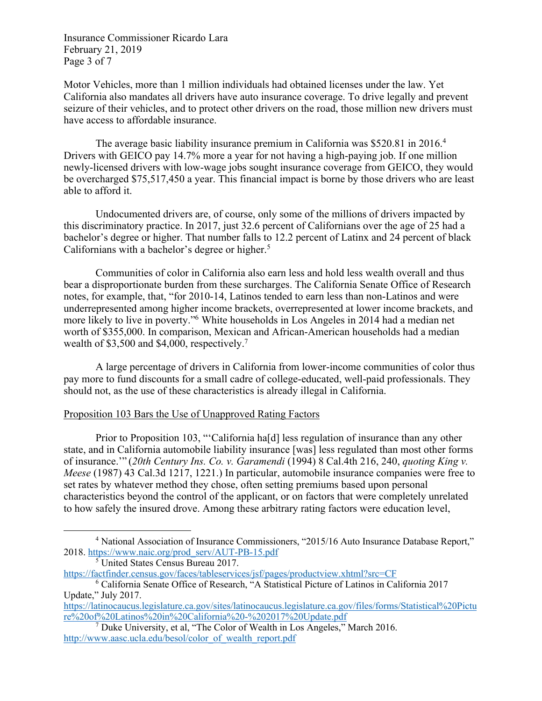Insurance Commissioner Ricardo Lara February 21, 2019 Page 3 of 7

Motor Vehicles, more than 1 million individuals had obtained licenses under the law. Yet California also mandates all drivers have auto insurance coverage. To drive legally and prevent seizure of their vehicles, and to protect other drivers on the road, those million new drivers must have access to affordable insurance.

The average basic liability insurance premium in California was \$520.81 in 2016.<sup>4</sup> Drivers with GEICO pay 14.7% more a year for not having a high-paying job. If one million newly-licensed drivers with low-wage jobs sought insurance coverage from GEICO, they would be overcharged \$75,517,450 a year. This financial impact is borne by those drivers who are least able to afford it.

Undocumented drivers are, of course, only some of the millions of drivers impacted by this discriminatory practice. In 2017, just 32.6 percent of Californians over the age of 25 had a bachelor's degree or higher. That number falls to 12.2 percent of Latinx and 24 percent of black Californians with a bachelor's degree or higher. 5

Communities of color in California also earn less and hold less wealth overall and thus bear a disproportionate burden from these surcharges. The California Senate Office of Research notes, for example, that, "for 2010-14, Latinos tended to earn less than non-Latinos and were underrepresented among higher income brackets, overrepresented at lower income brackets, and more likely to live in poverty."6 White households in Los Angeles in 2014 had a median net worth of \$355,000. In comparison, Mexican and African-American households had a median wealth of \$3,500 and \$4,000, respectively.<sup>7</sup>

A large percentage of drivers in California from lower-income communities of color thus pay more to fund discounts for a small cadre of college-educated, well-paid professionals. They should not, as the use of these characteristics is already illegal in California.

# Proposition 103 Bars the Use of Unapproved Rating Factors

Prior to Proposition 103, "'California ha[d] less regulation of insurance than any other state, and in California automobile liability insurance [was] less regulated than most other forms of insurance.'" (*20th Century Ins. Co. v. Garamendi* (1994) 8 Cal.4th 216, 240, *quoting King v. Meese* (1987) 43 Cal.3d 1217, 1221.) In particular, automobile insurance companies were free to set rates by whatever method they chose, often setting premiums based upon personal characteristics beyond the control of the applicant, or on factors that were completely unrelated to how safely the insured drove. Among these arbitrary rating factors were education level,

 <sup>4</sup> National Association of Insurance Commissioners, "2015/16 Auto Insurance Database Report," 2018. https://www.naic.org/prod\_serv/AUT-PB-15.pdf

 $5$  United States Census Bureau 2017.

https://factfinder.census.gov/faces/tableservices/jsf/pages/productview.xhtml?src=CF

<sup>6</sup> California Senate Office of Research, "A Statistical Picture of Latinos in California 2017 Update," July 2017.

https://latinocaucus.legislature.ca.gov/sites/latinocaucus.legislature.ca.gov/files/forms/Statistical%20Pictu re%20of%20Latinos%20in%20California%20-%202017%20Update.pdf

 $7$  Duke University, et al, "The Color of Wealth in Los Angeles," March 2016. http://www.aasc.ucla.edu/besol/color\_of\_wealth\_report.pdf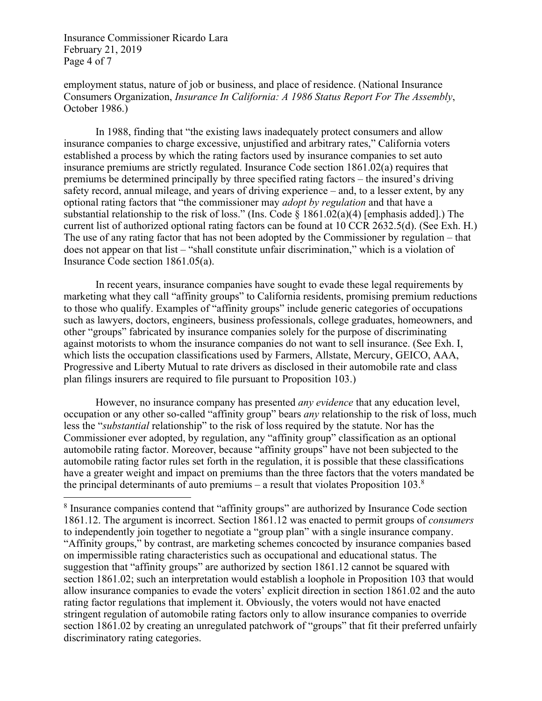Insurance Commissioner Ricardo Lara February 21, 2019 Page 4 of 7

employment status, nature of job or business, and place of residence. (National Insurance Consumers Organization, *Insurance In California: A 1986 Status Report For The Assembly*, October 1986.)

In 1988, finding that "the existing laws inadequately protect consumers and allow insurance companies to charge excessive, unjustified and arbitrary rates," California voters established a process by which the rating factors used by insurance companies to set auto insurance premiums are strictly regulated. Insurance Code section 1861.02(a) requires that premiums be determined principally by three specified rating factors – the insured's driving safety record, annual mileage, and years of driving experience – and, to a lesser extent, by any optional rating factors that "the commissioner may *adopt by regulation* and that have a substantial relationship to the risk of loss." (Ins. Code § 1861.02(a)(4) [emphasis added].) The current list of authorized optional rating factors can be found at 10 CCR 2632.5(d). (See Exh. H.) The use of any rating factor that has not been adopted by the Commissioner by regulation – that does not appear on that list – "shall constitute unfair discrimination," which is a violation of Insurance Code section 1861.05(a).

In recent years, insurance companies have sought to evade these legal requirements by marketing what they call "affinity groups" to California residents, promising premium reductions to those who qualify. Examples of "affinity groups" include generic categories of occupations such as lawyers, doctors, engineers, business professionals, college graduates, homeowners, and other "groups" fabricated by insurance companies solely for the purpose of discriminating against motorists to whom the insurance companies do not want to sell insurance. (See Exh. I, which lists the occupation classifications used by Farmers, Allstate, Mercury, GEICO, AAA, Progressive and Liberty Mutual to rate drivers as disclosed in their automobile rate and class plan filings insurers are required to file pursuant to Proposition 103.)

However, no insurance company has presented *any evidence* that any education level, occupation or any other so-called "affinity group" bears *any* relationship to the risk of loss, much less the "*substantial* relationship" to the risk of loss required by the statute. Nor has the Commissioner ever adopted, by regulation, any "affinity group" classification as an optional automobile rating factor. Moreover, because "affinity groups" have not been subjected to the automobile rating factor rules set forth in the regulation, it is possible that these classifications have a greater weight and impact on premiums than the three factors that the voters mandated be the principal determinants of auto premiums – a result that violates Proposition  $103<sup>8</sup>$ 

 <sup>8</sup> Insurance companies contend that "affinity groups" are authorized by Insurance Code section 1861.12. The argument is incorrect. Section 1861.12 was enacted to permit groups of *consumers* to independently join together to negotiate a "group plan" with a single insurance company. "Affinity groups," by contrast, are marketing schemes concocted by insurance companies based on impermissible rating characteristics such as occupational and educational status. The suggestion that "affinity groups" are authorized by section 1861.12 cannot be squared with section 1861.02; such an interpretation would establish a loophole in Proposition 103 that would allow insurance companies to evade the voters' explicit direction in section 1861.02 and the auto rating factor regulations that implement it. Obviously, the voters would not have enacted stringent regulation of automobile rating factors only to allow insurance companies to override section 1861.02 by creating an unregulated patchwork of "groups" that fit their preferred unfairly discriminatory rating categories.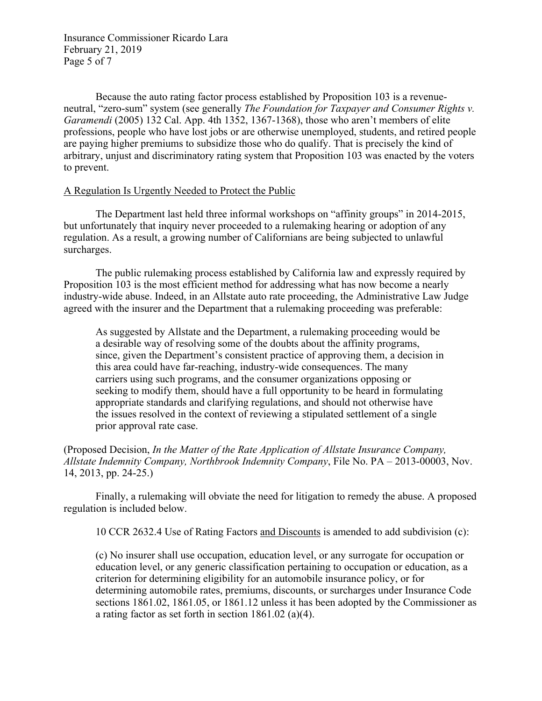Insurance Commissioner Ricardo Lara February 21, 2019 Page 5 of 7

Because the auto rating factor process established by Proposition 103 is a revenueneutral, "zero-sum" system (see generally *The Foundation for Taxpayer and Consumer Rights v. Garamendi* (2005) 132 Cal. App. 4th 1352, 1367-1368), those who aren't members of elite professions, people who have lost jobs or are otherwise unemployed, students, and retired people are paying higher premiums to subsidize those who do qualify. That is precisely the kind of arbitrary, unjust and discriminatory rating system that Proposition 103 was enacted by the voters to prevent.

### A Regulation Is Urgently Needed to Protect the Public

The Department last held three informal workshops on "affinity groups" in 2014-2015, but unfortunately that inquiry never proceeded to a rulemaking hearing or adoption of any regulation. As a result, a growing number of Californians are being subjected to unlawful surcharges.

The public rulemaking process established by California law and expressly required by Proposition 103 is the most efficient method for addressing what has now become a nearly industry-wide abuse. Indeed, in an Allstate auto rate proceeding, the Administrative Law Judge agreed with the insurer and the Department that a rulemaking proceeding was preferable:

As suggested by Allstate and the Department, a rulemaking proceeding would be a desirable way of resolving some of the doubts about the affinity programs, since, given the Department's consistent practice of approving them, a decision in this area could have far-reaching, industry-wide consequences. The many carriers using such programs, and the consumer organizations opposing or seeking to modify them, should have a full opportunity to be heard in formulating appropriate standards and clarifying regulations, and should not otherwise have the issues resolved in the context of reviewing a stipulated settlement of a single prior approval rate case.

(Proposed Decision, *In the Matter of the Rate Application of Allstate Insurance Company, Allstate Indemnity Company, Northbrook Indemnity Company*, File No. PA – 2013-00003, Nov. 14, 2013, pp. 24-25.)

Finally, a rulemaking will obviate the need for litigation to remedy the abuse. A proposed regulation is included below.

10 CCR 2632.4 Use of Rating Factors and Discounts is amended to add subdivision (c):

(c) No insurer shall use occupation, education level, or any surrogate for occupation or education level, or any generic classification pertaining to occupation or education, as a criterion for determining eligibility for an automobile insurance policy, or for determining automobile rates, premiums, discounts, or surcharges under Insurance Code sections 1861.02, 1861.05, or 1861.12 unless it has been adopted by the Commissioner as a rating factor as set forth in section 1861.02 (a)(4).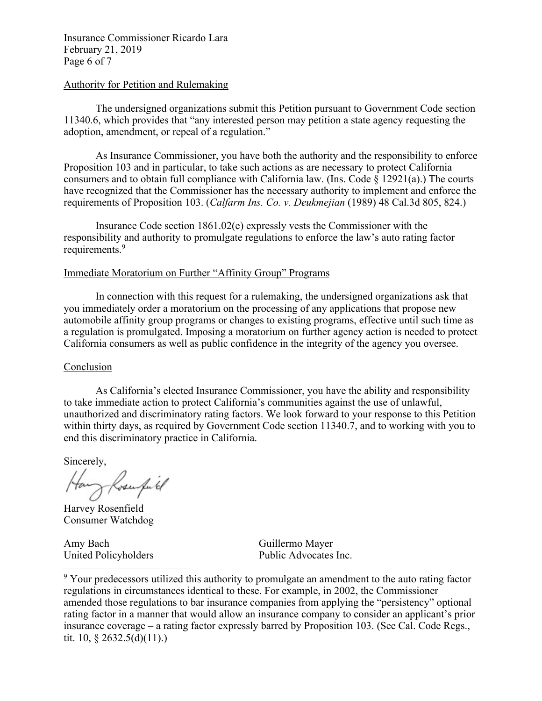Insurance Commissioner Ricardo Lara February 21, 2019 Page 6 of 7

### Authority for Petition and Rulemaking

The undersigned organizations submit this Petition pursuant to Government Code section 11340.6, which provides that "any interested person may petition a state agency requesting the adoption, amendment, or repeal of a regulation."

As Insurance Commissioner, you have both the authority and the responsibility to enforce Proposition 103 and in particular, to take such actions as are necessary to protect California consumers and to obtain full compliance with California law. (Ins. Code  $\S$  12921(a).) The courts have recognized that the Commissioner has the necessary authority to implement and enforce the requirements of Proposition 103. (*Calfarm Ins. Co. v. Deukmejian* (1989) 48 Cal.3d 805, 824.)

Insurance Code section 1861.02(e) expressly vests the Commissioner with the responsibility and authority to promulgate regulations to enforce the law's auto rating factor requirements.<sup>9</sup>

## Immediate Moratorium on Further "Affinity Group" Programs

In connection with this request for a rulemaking, the undersigned organizations ask that you immediately order a moratorium on the processing of any applications that propose new automobile affinity group programs or changes to existing programs, effective until such time as a regulation is promulgated. Imposing a moratorium on further agency action is needed to protect California consumers as well as public confidence in the integrity of the agency you oversee.

#### Conclusion

As California's elected Insurance Commissioner, you have the ability and responsibility to take immediate action to protect California's communities against the use of unlawful, unauthorized and discriminatory rating factors. We look forward to your response to this Petition within thirty days, as required by Government Code section 11340.7, and to working with you to end this discriminatory practice in California.

Sincerely,

Hang Rosempil

Harvey Rosenfield Consumer Watchdog

Amy Bach Guillermo Mayer

United Policyholders Public Advocates Inc.

<sup>9</sup> Your predecessors utilized this authority to promulgate an amendment to the auto rating factor regulations in circumstances identical to these. For example, in 2002, the Commissioner amended those regulations to bar insurance companies from applying the "persistency" optional rating factor in a manner that would allow an insurance company to consider an applicant's prior insurance coverage – a rating factor expressly barred by Proposition 103. (See Cal. Code Regs., tit. 10, § 2632.5(d)(11).)